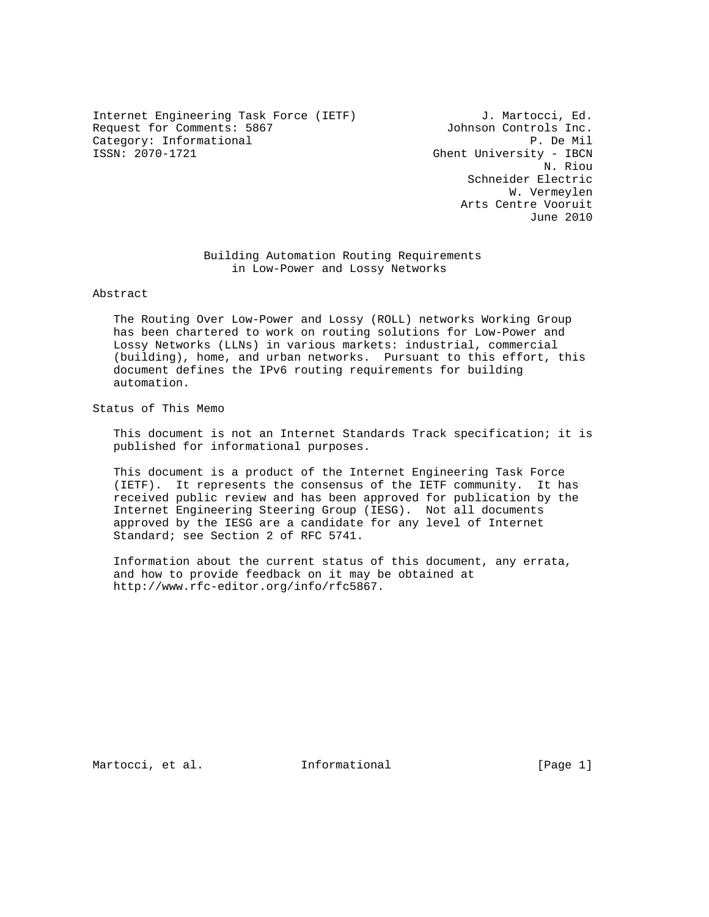Internet Engineering Task Force (IETF) J. Martocci, Ed.<br>Request for Comments: 5867 Johnson Controls Inc. Request for Comments: 5867 Category: Informational P. De Mil<br>
ISSN: 2070-1721 Chent University - IBCN

Ghent University - IBCN N. Riou Schneider Electric W. Vermeylen Arts Centre Vooruit June 2010

 Building Automation Routing Requirements in Low-Power and Lossy Networks

Abstract

 The Routing Over Low-Power and Lossy (ROLL) networks Working Group has been chartered to work on routing solutions for Low-Power and Lossy Networks (LLNs) in various markets: industrial, commercial (building), home, and urban networks. Pursuant to this effort, this document defines the IPv6 routing requirements for building automation.

Status of This Memo

 This document is not an Internet Standards Track specification; it is published for informational purposes.

 This document is a product of the Internet Engineering Task Force (IETF). It represents the consensus of the IETF community. It has received public review and has been approved for publication by the Internet Engineering Steering Group (IESG). Not all documents approved by the IESG are a candidate for any level of Internet Standard; see Section 2 of RFC 5741.

 Information about the current status of this document, any errata, and how to provide feedback on it may be obtained at http://www.rfc-editor.org/info/rfc5867.

Martocci, et al. 1nformational [Page 1]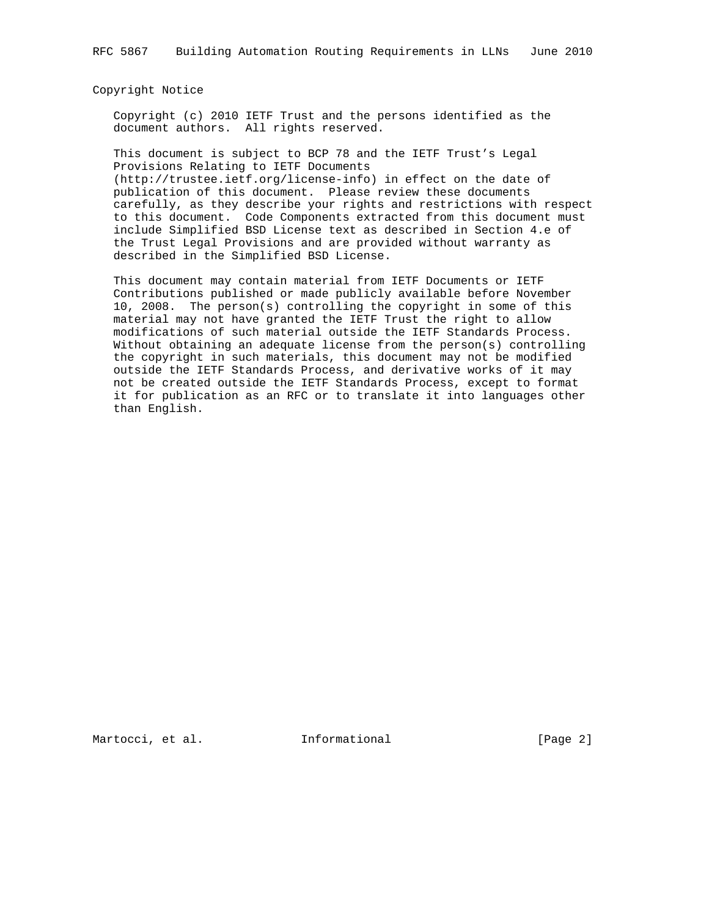### Copyright Notice

 Copyright (c) 2010 IETF Trust and the persons identified as the document authors. All rights reserved.

 This document is subject to BCP 78 and the IETF Trust's Legal Provisions Relating to IETF Documents (http://trustee.ietf.org/license-info) in effect on the date of publication of this document. Please review these documents carefully, as they describe your rights and restrictions with respect to this document. Code Components extracted from this document must include Simplified BSD License text as described in Section 4.e of the Trust Legal Provisions and are provided without warranty as described in the Simplified BSD License.

 This document may contain material from IETF Documents or IETF Contributions published or made publicly available before November 10, 2008. The person(s) controlling the copyright in some of this material may not have granted the IETF Trust the right to allow modifications of such material outside the IETF Standards Process. Without obtaining an adequate license from the person(s) controlling the copyright in such materials, this document may not be modified outside the IETF Standards Process, and derivative works of it may not be created outside the IETF Standards Process, except to format it for publication as an RFC or to translate it into languages other than English.

Martocci, et al. 1nformational [Page 2]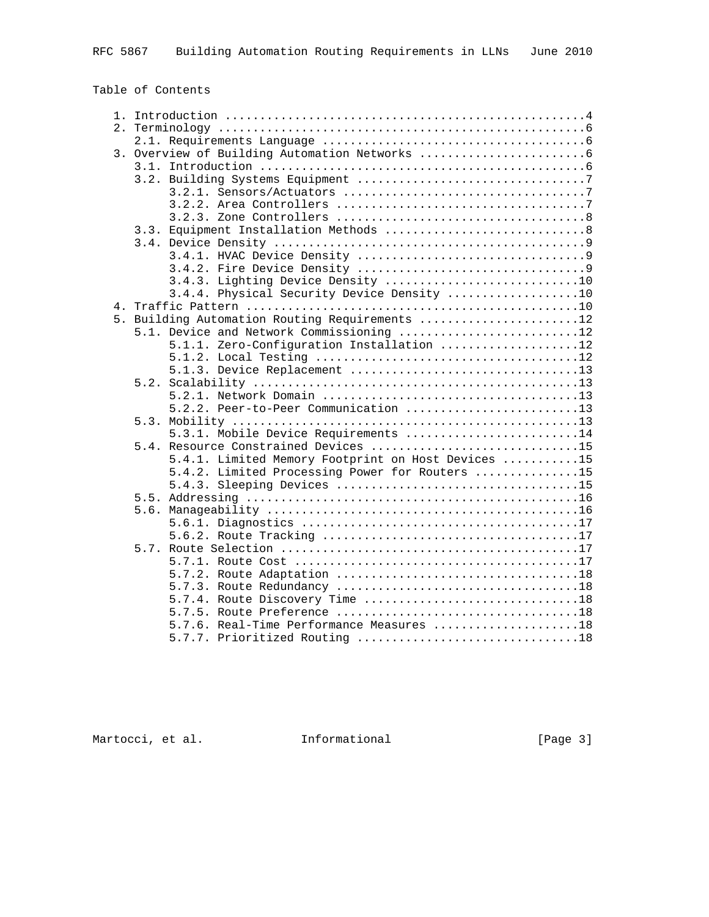| Table of Contents |  |
|-------------------|--|
|-------------------|--|

|  | 2.                                                                           |  |  |                                                |  |  |  |  |  |  |  |  |  |  |
|--|------------------------------------------------------------------------------|--|--|------------------------------------------------|--|--|--|--|--|--|--|--|--|--|
|  |                                                                              |  |  |                                                |  |  |  |  |  |  |  |  |  |  |
|  |                                                                              |  |  |                                                |  |  |  |  |  |  |  |  |  |  |
|  |                                                                              |  |  |                                                |  |  |  |  |  |  |  |  |  |  |
|  |                                                                              |  |  |                                                |  |  |  |  |  |  |  |  |  |  |
|  |                                                                              |  |  |                                                |  |  |  |  |  |  |  |  |  |  |
|  |                                                                              |  |  |                                                |  |  |  |  |  |  |  |  |  |  |
|  |                                                                              |  |  |                                                |  |  |  |  |  |  |  |  |  |  |
|  |                                                                              |  |  |                                                |  |  |  |  |  |  |  |  |  |  |
|  |                                                                              |  |  |                                                |  |  |  |  |  |  |  |  |  |  |
|  |                                                                              |  |  |                                                |  |  |  |  |  |  |  |  |  |  |
|  |                                                                              |  |  |                                                |  |  |  |  |  |  |  |  |  |  |
|  |                                                                              |  |  | 3.4.3. Lighting Device Density 10              |  |  |  |  |  |  |  |  |  |  |
|  |                                                                              |  |  | 3.4.4. Physical Security Device Density 10     |  |  |  |  |  |  |  |  |  |  |
|  |                                                                              |  |  |                                                |  |  |  |  |  |  |  |  |  |  |
|  |                                                                              |  |  | 5. Building Automation Routing Requirements 12 |  |  |  |  |  |  |  |  |  |  |
|  |                                                                              |  |  | 5.1. Device and Network Commissioning 12       |  |  |  |  |  |  |  |  |  |  |
|  |                                                                              |  |  | 5.1.1. Zero-Configuration Installation 12      |  |  |  |  |  |  |  |  |  |  |
|  |                                                                              |  |  |                                                |  |  |  |  |  |  |  |  |  |  |
|  |                                                                              |  |  |                                                |  |  |  |  |  |  |  |  |  |  |
|  |                                                                              |  |  |                                                |  |  |  |  |  |  |  |  |  |  |
|  |                                                                              |  |  |                                                |  |  |  |  |  |  |  |  |  |  |
|  |                                                                              |  |  | 5.2.2. Peer-to-Peer Communication 13           |  |  |  |  |  |  |  |  |  |  |
|  |                                                                              |  |  |                                                |  |  |  |  |  |  |  |  |  |  |
|  | 5.3.1. Mobile Device Requirements 14<br>5.4. Resource Constrained Devices 15 |  |  |                                                |  |  |  |  |  |  |  |  |  |  |
|  |                                                                              |  |  |                                                |  |  |  |  |  |  |  |  |  |  |
|  | 5.4.1. Limited Memory Footprint on Host Devices 15                           |  |  |                                                |  |  |  |  |  |  |  |  |  |  |
|  |                                                                              |  |  | 5.4.2. Limited Processing Power for Routers 15 |  |  |  |  |  |  |  |  |  |  |
|  |                                                                              |  |  |                                                |  |  |  |  |  |  |  |  |  |  |
|  |                                                                              |  |  |                                                |  |  |  |  |  |  |  |  |  |  |
|  |                                                                              |  |  |                                                |  |  |  |  |  |  |  |  |  |  |
|  |                                                                              |  |  |                                                |  |  |  |  |  |  |  |  |  |  |
|  |                                                                              |  |  |                                                |  |  |  |  |  |  |  |  |  |  |
|  |                                                                              |  |  |                                                |  |  |  |  |  |  |  |  |  |  |
|  |                                                                              |  |  |                                                |  |  |  |  |  |  |  |  |  |  |
|  |                                                                              |  |  |                                                |  |  |  |  |  |  |  |  |  |  |
|  |                                                                              |  |  |                                                |  |  |  |  |  |  |  |  |  |  |
|  |                                                                              |  |  | 5.7.4. Route Discovery Time 18                 |  |  |  |  |  |  |  |  |  |  |
|  |                                                                              |  |  |                                                |  |  |  |  |  |  |  |  |  |  |
|  |                                                                              |  |  | 5.7.6. Real-Time Performance Measures 18       |  |  |  |  |  |  |  |  |  |  |
|  |                                                                              |  |  |                                                |  |  |  |  |  |  |  |  |  |  |

Martocci, et al. 1nformational 1999 [Page 3]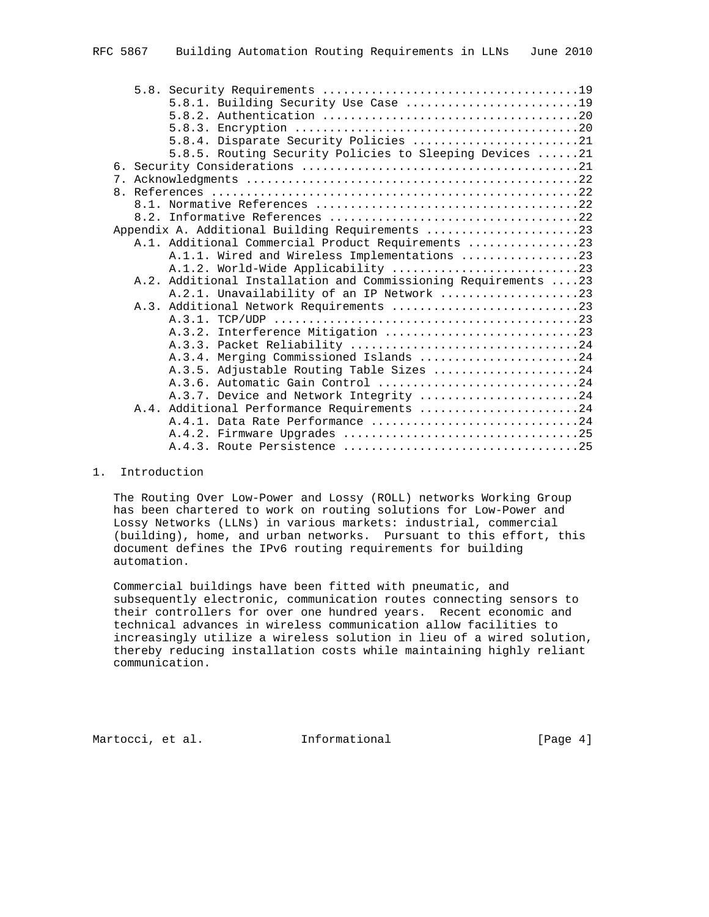| 5.8.1. Building Security Use Case 19                           |
|----------------------------------------------------------------|
|                                                                |
|                                                                |
| 5.8.4. Disparate Security Policies 21                          |
| 5.8.5. Routing Security Policies to Sleeping Devices 21        |
|                                                                |
|                                                                |
|                                                                |
|                                                                |
|                                                                |
| Appendix A. Additional Building Requirements 23                |
| A.1. Additional Commercial Product Requirements 23             |
| A.1.1. Wired and Wireless Implementations 23                   |
|                                                                |
| A.2. Additional Installation and Commissioning Requirements 23 |
| A.2.1. Unavailability of an IP Network 23                      |
|                                                                |
|                                                                |
| A.3.2. Interference Mitigation 23                              |
| A.3.3. Packet Reliability 24                                   |
| A.3.4. Merging Commissioned Islands 24                         |
| A.3.5. Adjustable Routing Table Sizes 24                       |
| A.3.6. Automatic Gain Control 24                               |
| A.3.7. Device and Network Integrity 24                         |
| A.4. Additional Performance Requirements 24                    |
| A.4.1. Data Rate Performance 24                                |
|                                                                |
|                                                                |

## 1. Introduction

 The Routing Over Low-Power and Lossy (ROLL) networks Working Group has been chartered to work on routing solutions for Low-Power and Lossy Networks (LLNs) in various markets: industrial, commercial (building), home, and urban networks. Pursuant to this effort, this document defines the IPv6 routing requirements for building automation.

 Commercial buildings have been fitted with pneumatic, and subsequently electronic, communication routes connecting sensors to their controllers for over one hundred years. Recent economic and technical advances in wireless communication allow facilities to increasingly utilize a wireless solution in lieu of a wired solution, thereby reducing installation costs while maintaining highly reliant communication.

Martocci, et al. 1nformational 1999 [Page 4]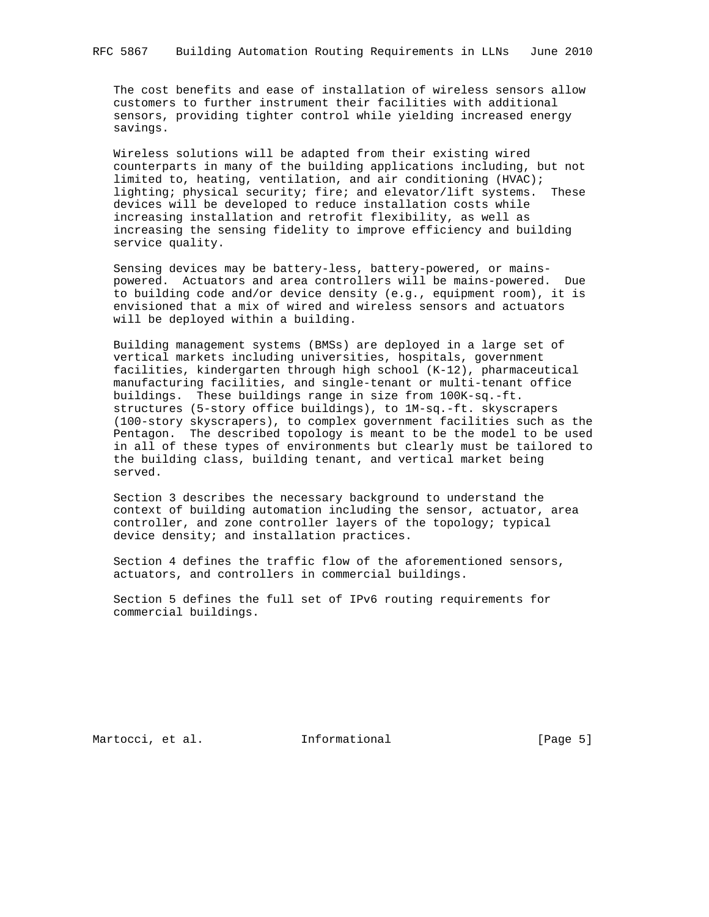The cost benefits and ease of installation of wireless sensors allow customers to further instrument their facilities with additional sensors, providing tighter control while yielding increased energy savings.

 Wireless solutions will be adapted from their existing wired counterparts in many of the building applications including, but not limited to, heating, ventilation, and air conditioning (HVAC); lighting; physical security; fire; and elevator/lift systems. These devices will be developed to reduce installation costs while increasing installation and retrofit flexibility, as well as increasing the sensing fidelity to improve efficiency and building service quality.

 Sensing devices may be battery-less, battery-powered, or mains powered. Actuators and area controllers will be mains-powered. Due to building code and/or device density (e.g., equipment room), it is envisioned that a mix of wired and wireless sensors and actuators will be deployed within a building.

 Building management systems (BMSs) are deployed in a large set of vertical markets including universities, hospitals, government facilities, kindergarten through high school (K-12), pharmaceutical manufacturing facilities, and single-tenant or multi-tenant office buildings. These buildings range in size from 100K-sq.-ft. structures (5-story office buildings), to 1M-sq.-ft. skyscrapers (100-story skyscrapers), to complex government facilities such as the Pentagon. The described topology is meant to be the model to be used in all of these types of environments but clearly must be tailored to the building class, building tenant, and vertical market being served.

 Section 3 describes the necessary background to understand the context of building automation including the sensor, actuator, area controller, and zone controller layers of the topology; typical device density; and installation practices.

 Section 4 defines the traffic flow of the aforementioned sensors, actuators, and controllers in commercial buildings.

 Section 5 defines the full set of IPv6 routing requirements for commercial buildings.

Martocci, et al. 1nformational 1999 [Page 5]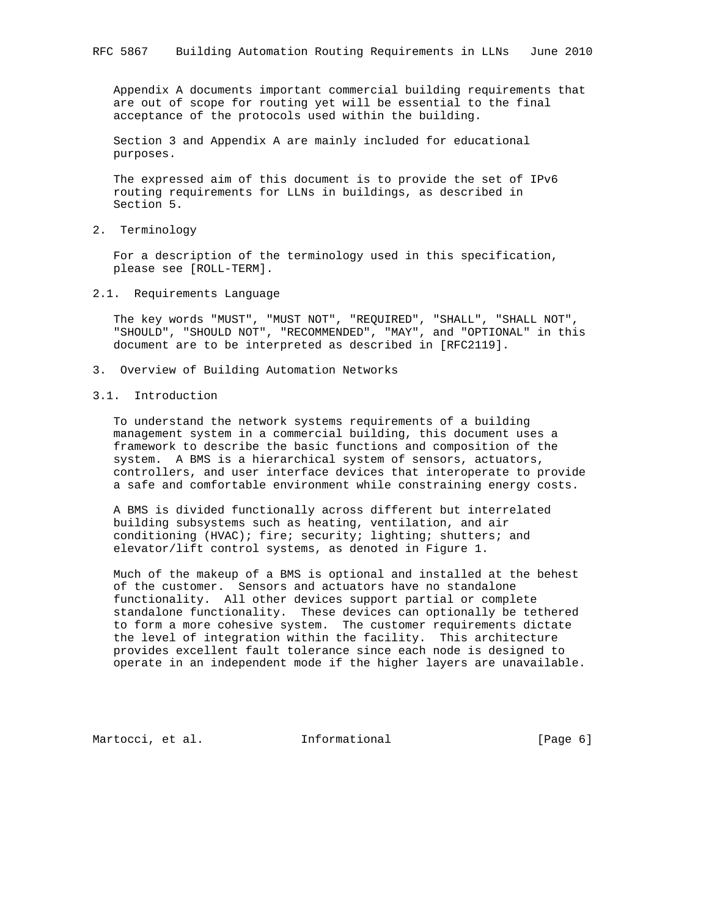Appendix A documents important commercial building requirements that are out of scope for routing yet will be essential to the final acceptance of the protocols used within the building.

 Section 3 and Appendix A are mainly included for educational purposes.

 The expressed aim of this document is to provide the set of IPv6 routing requirements for LLNs in buildings, as described in Section 5.

2. Terminology

 For a description of the terminology used in this specification, please see [ROLL-TERM].

2.1. Requirements Language

 The key words "MUST", "MUST NOT", "REQUIRED", "SHALL", "SHALL NOT", "SHOULD", "SHOULD NOT", "RECOMMENDED", "MAY", and "OPTIONAL" in this document are to be interpreted as described in [RFC2119].

3. Overview of Building Automation Networks

## 3.1. Introduction

 To understand the network systems requirements of a building management system in a commercial building, this document uses a framework to describe the basic functions and composition of the system. A BMS is a hierarchical system of sensors, actuators, controllers, and user interface devices that interoperate to provide a safe and comfortable environment while constraining energy costs.

 A BMS is divided functionally across different but interrelated building subsystems such as heating, ventilation, and air conditioning (HVAC); fire; security; lighting; shutters; and elevator/lift control systems, as denoted in Figure 1.

 Much of the makeup of a BMS is optional and installed at the behest of the customer. Sensors and actuators have no standalone functionality. All other devices support partial or complete standalone functionality. These devices can optionally be tethered to form a more cohesive system. The customer requirements dictate the level of integration within the facility. This architecture provides excellent fault tolerance since each node is designed to operate in an independent mode if the higher layers are unavailable.

Martocci, et al. 1nformational 1999 [Page 6]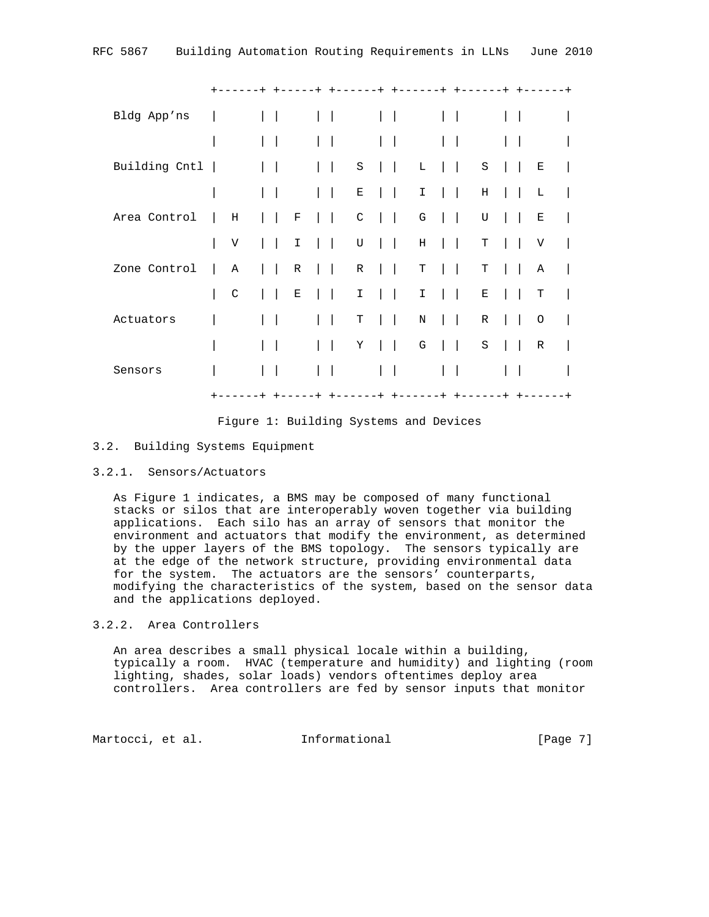|               | $\overline{+}$ |              |        |             |        |             |           |             |         |        |             |  |             | $-+$ |
|---------------|----------------|--------------|--------|-------------|--------|-------------|-----------|-------------|---------|--------|-------------|--|-------------|------|
| Bldg App'ns   |                |              |        |             |        |             |           |             |         |        |             |  |             |      |
|               |                |              |        |             |        |             |           |             |         |        |             |  |             |      |
| Building Cntl |                |              |        |             |        | $\rm S$     | $\sim$ 1. | L           |         |        | $\rm S$     |  | Е           |      |
|               |                |              |        |             |        | Е           |           | I           | $\perp$ |        | Η           |  | L           |      |
| Area Control  |                | $\rm H$      | $\Box$ | $\rm F$     | $\Box$ | $\mathsf C$ |           | ${\bf G}$   |         |        | U           |  | $\mathbf E$ |      |
|               |                | V            | $\Box$ | $\mathbf T$ |        | U           |           | $\rm H$     |         |        | T           |  | V           |      |
| Zone Control  |                | Α            |        | $\mathbb R$ |        | R           |           | $\mathbf T$ |         | $\Box$ | $\mathbf T$ |  | Α           |      |
|               |                | $\mathsf{C}$ |        | Е           |        | I           |           | I           |         | $\Box$ | $\mathbf E$ |  | Т           |      |
| Actuators     |                |              |        |             |        | $\mathbf T$ |           | $\rm N$     |         |        | $\mathbb R$ |  | $\circ$     |      |
|               |                |              |        |             |        | Υ           |           | G           |         |        | $\rm S$     |  | $\mathbb R$ |      |
| Sensors       |                |              |        |             |        |             |           |             |         |        |             |  |             |      |
|               | $^+$           |              |        |             |        |             |           |             |         |        |             |  |             | - +  |
|               |                |              |        |             |        |             |           |             |         |        |             |  |             |      |

Figure 1: Building Systems and Devices

## 3.2. Building Systems Equipment

## 3.2.1. Sensors/Actuators

 As Figure 1 indicates, a BMS may be composed of many functional stacks or silos that are interoperably woven together via building applications. Each silo has an array of sensors that monitor the environment and actuators that modify the environment, as determined by the upper layers of the BMS topology. The sensors typically are at the edge of the network structure, providing environmental data for the system. The actuators are the sensors' counterparts, modifying the characteristics of the system, based on the sensor data and the applications deployed.

## 3.2.2. Area Controllers

 An area describes a small physical locale within a building, typically a room. HVAC (temperature and humidity) and lighting (room lighting, shades, solar loads) vendors oftentimes deploy area controllers. Area controllers are fed by sensor inputs that monitor

Martocci, et al. 1nformational 1999 [Page 7]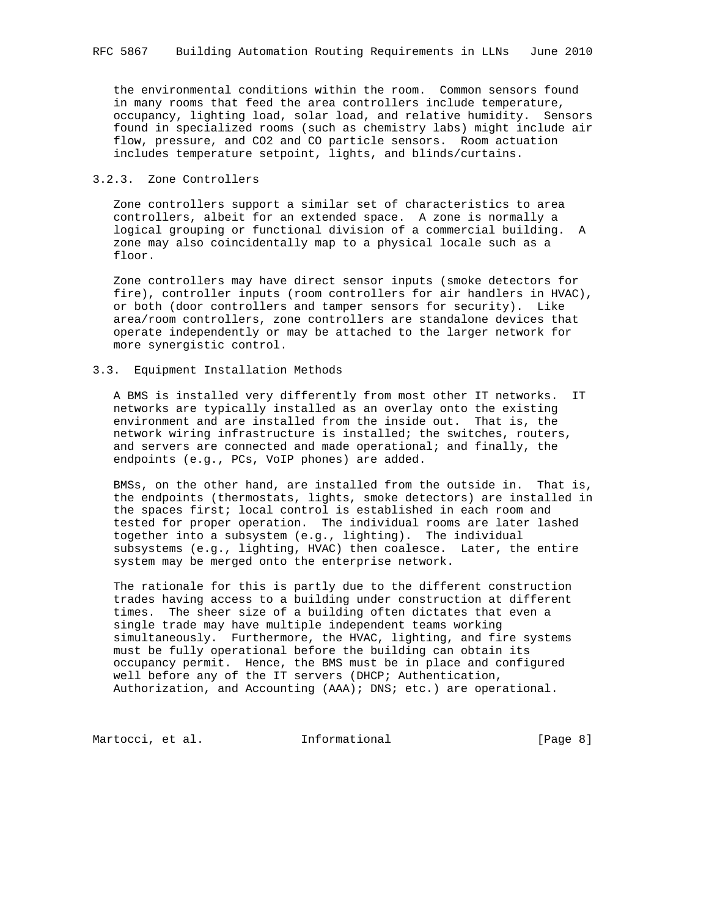the environmental conditions within the room. Common sensors found in many rooms that feed the area controllers include temperature, occupancy, lighting load, solar load, and relative humidity. Sensors found in specialized rooms (such as chemistry labs) might include air flow, pressure, and CO2 and CO particle sensors. Room actuation includes temperature setpoint, lights, and blinds/curtains.

## 3.2.3. Zone Controllers

 Zone controllers support a similar set of characteristics to area controllers, albeit for an extended space. A zone is normally a logical grouping or functional division of a commercial building. A zone may also coincidentally map to a physical locale such as a floor.

 Zone controllers may have direct sensor inputs (smoke detectors for fire), controller inputs (room controllers for air handlers in HVAC), or both (door controllers and tamper sensors for security). Like area/room controllers, zone controllers are standalone devices that operate independently or may be attached to the larger network for more synergistic control.

## 3.3. Equipment Installation Methods

 A BMS is installed very differently from most other IT networks. IT networks are typically installed as an overlay onto the existing environment and are installed from the inside out. That is, the network wiring infrastructure is installed; the switches, routers, and servers are connected and made operational; and finally, the endpoints (e.g., PCs, VoIP phones) are added.

 BMSs, on the other hand, are installed from the outside in. That is, the endpoints (thermostats, lights, smoke detectors) are installed in the spaces first; local control is established in each room and tested for proper operation. The individual rooms are later lashed together into a subsystem (e.g., lighting). The individual subsystems (e.g., lighting, HVAC) then coalesce. Later, the entire system may be merged onto the enterprise network.

 The rationale for this is partly due to the different construction trades having access to a building under construction at different times. The sheer size of a building often dictates that even a single trade may have multiple independent teams working simultaneously. Furthermore, the HVAC, lighting, and fire systems must be fully operational before the building can obtain its occupancy permit. Hence, the BMS must be in place and configured well before any of the IT servers (DHCP; Authentication, Authorization, and Accounting (AAA); DNS; etc.) are operational.

Martocci, et al. 1nformational 1999 [Page 8]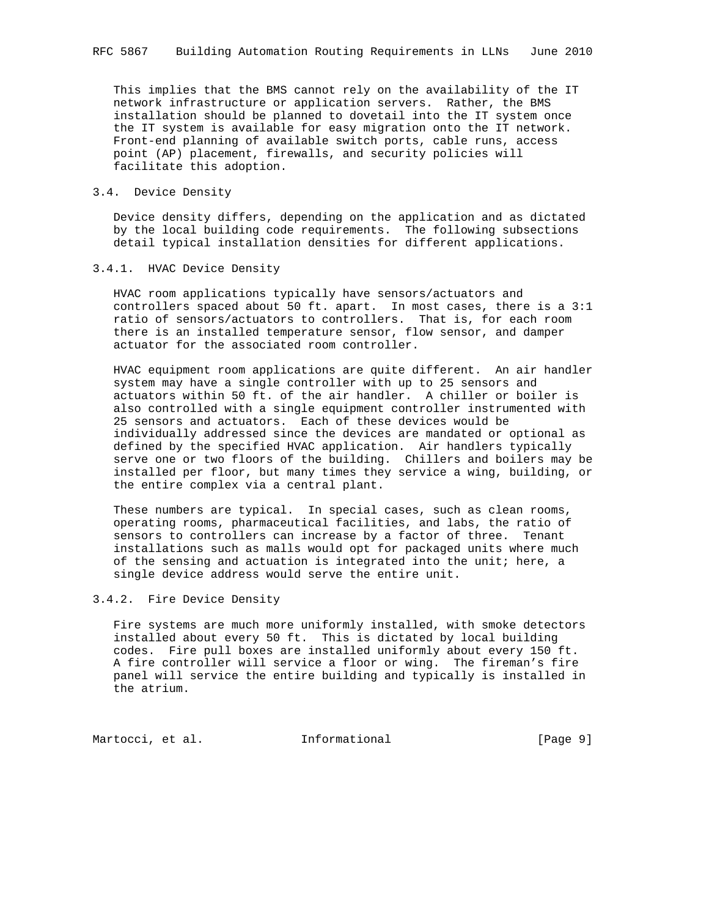This implies that the BMS cannot rely on the availability of the IT network infrastructure or application servers. Rather, the BMS installation should be planned to dovetail into the IT system once the IT system is available for easy migration onto the IT network. Front-end planning of available switch ports, cable runs, access point (AP) placement, firewalls, and security policies will facilitate this adoption.

### 3.4. Device Density

 Device density differs, depending on the application and as dictated by the local building code requirements. The following subsections detail typical installation densities for different applications.

## 3.4.1. HVAC Device Density

 HVAC room applications typically have sensors/actuators and controllers spaced about 50 ft. apart. In most cases, there is a 3:1 ratio of sensors/actuators to controllers. That is, for each room there is an installed temperature sensor, flow sensor, and damper actuator for the associated room controller.

 HVAC equipment room applications are quite different. An air handler system may have a single controller with up to 25 sensors and actuators within 50 ft. of the air handler. A chiller or boiler is also controlled with a single equipment controller instrumented with 25 sensors and actuators. Each of these devices would be individually addressed since the devices are mandated or optional as defined by the specified HVAC application. Air handlers typically serve one or two floors of the building. Chillers and boilers may be installed per floor, but many times they service a wing, building, or the entire complex via a central plant.

 These numbers are typical. In special cases, such as clean rooms, operating rooms, pharmaceutical facilities, and labs, the ratio of sensors to controllers can increase by a factor of three. Tenant installations such as malls would opt for packaged units where much of the sensing and actuation is integrated into the unit; here, a single device address would serve the entire unit.

## 3.4.2. Fire Device Density

 Fire systems are much more uniformly installed, with smoke detectors installed about every 50 ft. This is dictated by local building codes. Fire pull boxes are installed uniformly about every 150 ft. A fire controller will service a floor or wing. The fireman's fire panel will service the entire building and typically is installed in the atrium.

Martocci, et al. 1nformational 1999 [Page 9]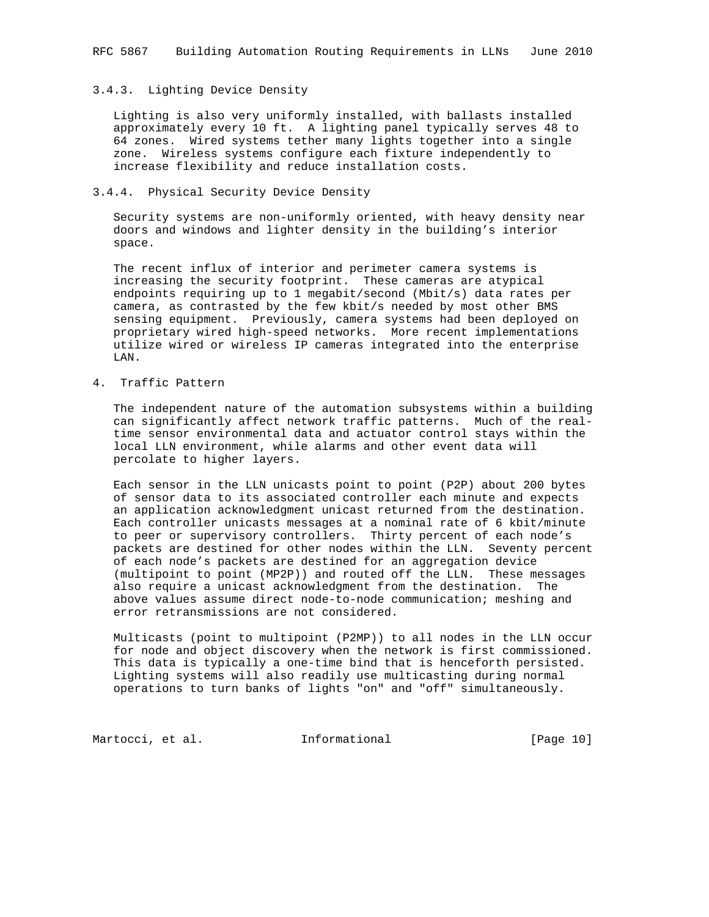# 3.4.3. Lighting Device Density

 Lighting is also very uniformly installed, with ballasts installed approximately every 10 ft. A lighting panel typically serves 48 to 64 zones. Wired systems tether many lights together into a single zone. Wireless systems configure each fixture independently to increase flexibility and reduce installation costs.

## 3.4.4. Physical Security Device Density

 Security systems are non-uniformly oriented, with heavy density near doors and windows and lighter density in the building's interior space.

 The recent influx of interior and perimeter camera systems is increasing the security footprint. These cameras are atypical endpoints requiring up to 1 megabit/second (Mbit/s) data rates per camera, as contrasted by the few kbit/s needed by most other BMS sensing equipment. Previously, camera systems had been deployed on proprietary wired high-speed networks. More recent implementations utilize wired or wireless IP cameras integrated into the enterprise LAN.

## 4. Traffic Pattern

 The independent nature of the automation subsystems within a building can significantly affect network traffic patterns. Much of the real time sensor environmental data and actuator control stays within the local LLN environment, while alarms and other event data will percolate to higher layers.

 Each sensor in the LLN unicasts point to point (P2P) about 200 bytes of sensor data to its associated controller each minute and expects an application acknowledgment unicast returned from the destination. Each controller unicasts messages at a nominal rate of 6 kbit/minute to peer or supervisory controllers. Thirty percent of each node's packets are destined for other nodes within the LLN. Seventy percent of each node's packets are destined for an aggregation device (multipoint to point (MP2P)) and routed off the LLN. These messages also require a unicast acknowledgment from the destination. The above values assume direct node-to-node communication; meshing and error retransmissions are not considered.

 Multicasts (point to multipoint (P2MP)) to all nodes in the LLN occur for node and object discovery when the network is first commissioned. This data is typically a one-time bind that is henceforth persisted. Lighting systems will also readily use multicasting during normal operations to turn banks of lights "on" and "off" simultaneously.

Martocci, et al. 1nformational [Page 10]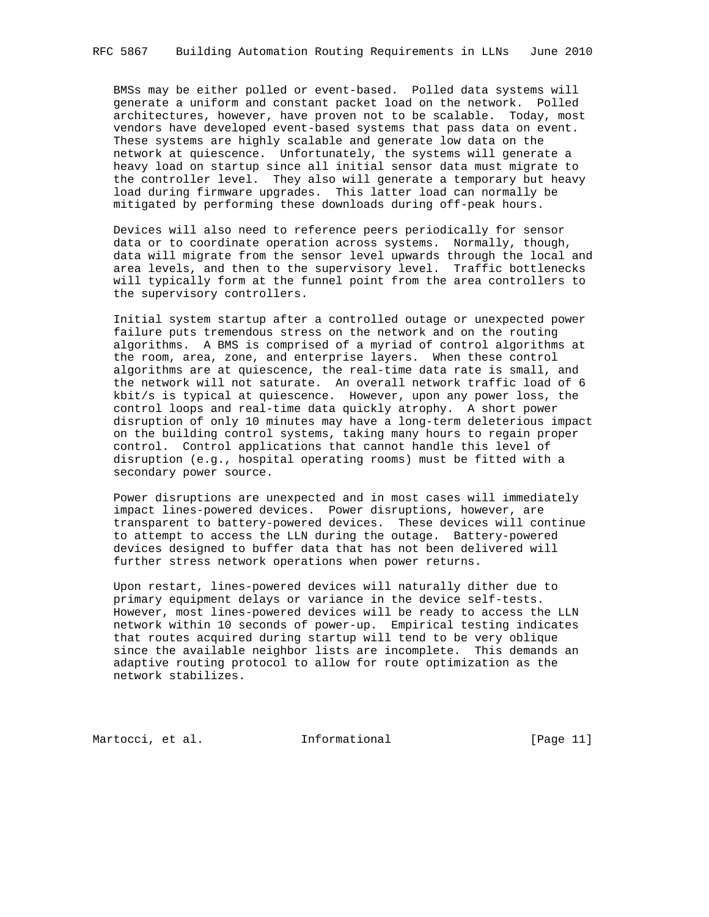BMSs may be either polled or event-based. Polled data systems will generate a uniform and constant packet load on the network. Polled architectures, however, have proven not to be scalable. Today, most vendors have developed event-based systems that pass data on event. These systems are highly scalable and generate low data on the network at quiescence. Unfortunately, the systems will generate a heavy load on startup since all initial sensor data must migrate to the controller level. They also will generate a temporary but heavy load during firmware upgrades. This latter load can normally be mitigated by performing these downloads during off-peak hours.

 Devices will also need to reference peers periodically for sensor data or to coordinate operation across systems. Normally, though, data will migrate from the sensor level upwards through the local and area levels, and then to the supervisory level. Traffic bottlenecks will typically form at the funnel point from the area controllers to the supervisory controllers.

 Initial system startup after a controlled outage or unexpected power failure puts tremendous stress on the network and on the routing algorithms. A BMS is comprised of a myriad of control algorithms at the room, area, zone, and enterprise layers. When these control algorithms are at quiescence, the real-time data rate is small, and the network will not saturate. An overall network traffic load of 6 kbit/s is typical at quiescence. However, upon any power loss, the control loops and real-time data quickly atrophy. A short power disruption of only 10 minutes may have a long-term deleterious impact on the building control systems, taking many hours to regain proper control. Control applications that cannot handle this level of disruption (e.g., hospital operating rooms) must be fitted with a secondary power source.

 Power disruptions are unexpected and in most cases will immediately impact lines-powered devices. Power disruptions, however, are transparent to battery-powered devices. These devices will continue to attempt to access the LLN during the outage. Battery-powered devices designed to buffer data that has not been delivered will further stress network operations when power returns.

 Upon restart, lines-powered devices will naturally dither due to primary equipment delays or variance in the device self-tests. However, most lines-powered devices will be ready to access the LLN network within 10 seconds of power-up. Empirical testing indicates that routes acquired during startup will tend to be very oblique since the available neighbor lists are incomplete. This demands an adaptive routing protocol to allow for route optimization as the network stabilizes.

Martocci, et al. 1nformational 1999 [Page 11]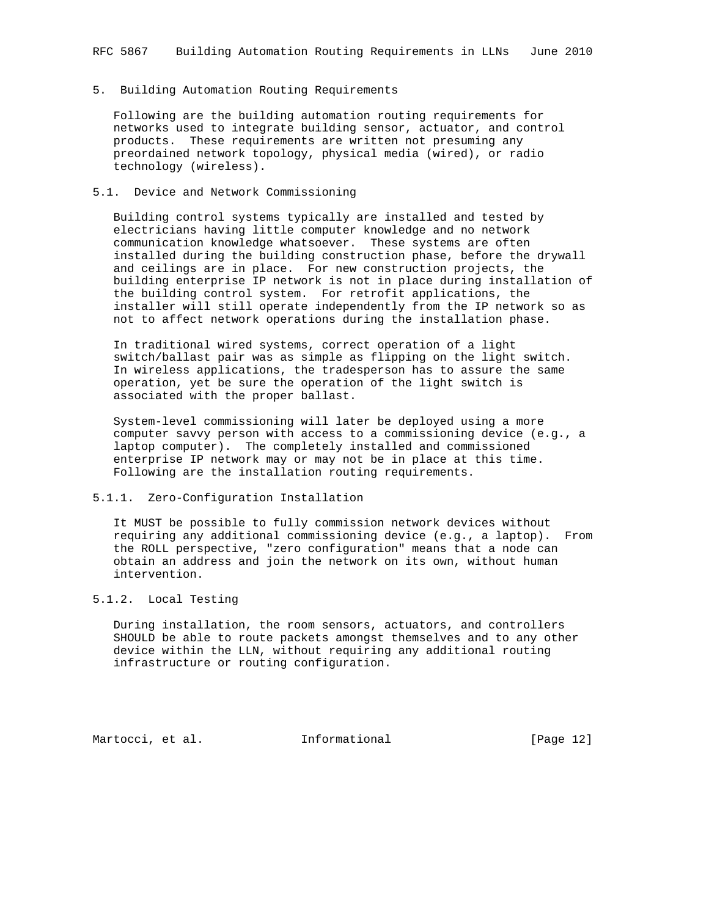### 5. Building Automation Routing Requirements

 Following are the building automation routing requirements for networks used to integrate building sensor, actuator, and control products. These requirements are written not presuming any preordained network topology, physical media (wired), or radio technology (wireless).

## 5.1. Device and Network Commissioning

 Building control systems typically are installed and tested by electricians having little computer knowledge and no network communication knowledge whatsoever. These systems are often installed during the building construction phase, before the drywall and ceilings are in place. For new construction projects, the building enterprise IP network is not in place during installation of the building control system. For retrofit applications, the installer will still operate independently from the IP network so as not to affect network operations during the installation phase.

 In traditional wired systems, correct operation of a light switch/ballast pair was as simple as flipping on the light switch. In wireless applications, the tradesperson has to assure the same operation, yet be sure the operation of the light switch is associated with the proper ballast.

 System-level commissioning will later be deployed using a more computer savvy person with access to a commissioning device (e.g., a laptop computer). The completely installed and commissioned enterprise IP network may or may not be in place at this time. Following are the installation routing requirements.

### 5.1.1. Zero-Configuration Installation

 It MUST be possible to fully commission network devices without requiring any additional commissioning device (e.g., a laptop). From the ROLL perspective, "zero configuration" means that a node can obtain an address and join the network on its own, without human intervention.

# 5.1.2. Local Testing

 During installation, the room sensors, actuators, and controllers SHOULD be able to route packets amongst themselves and to any other device within the LLN, without requiring any additional routing infrastructure or routing configuration.

Martocci, et al. 1nformational 1999 [Page 12]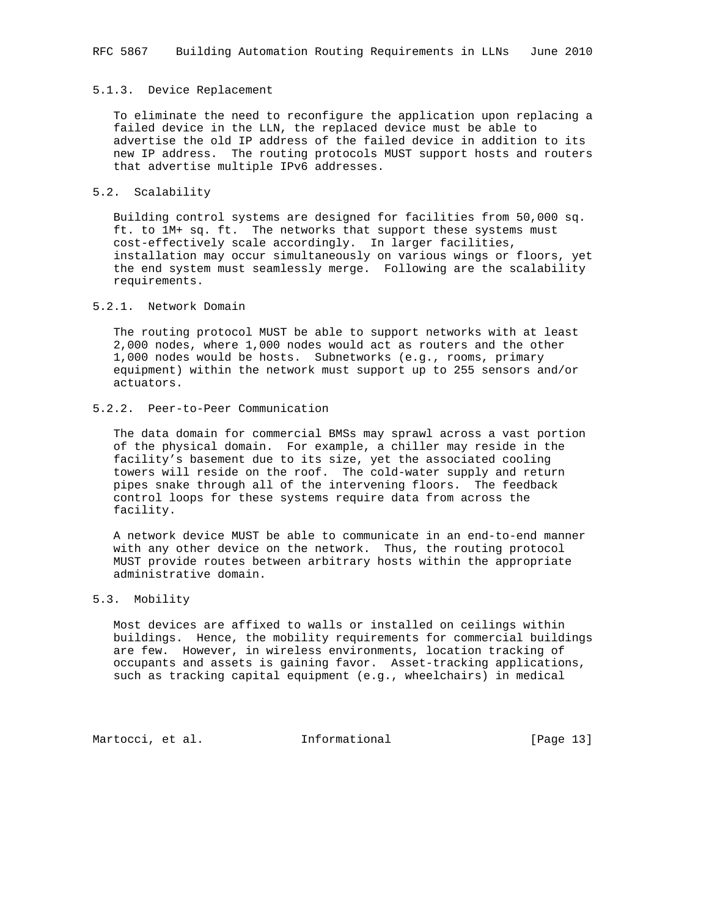## 5.1.3. Device Replacement

 To eliminate the need to reconfigure the application upon replacing a failed device in the LLN, the replaced device must be able to advertise the old IP address of the failed device in addition to its new IP address. The routing protocols MUST support hosts and routers that advertise multiple IPv6 addresses.

## 5.2. Scalability

 Building control systems are designed for facilities from 50,000 sq. ft. to 1M+ sq. ft. The networks that support these systems must cost-effectively scale accordingly. In larger facilities, installation may occur simultaneously on various wings or floors, yet the end system must seamlessly merge. Following are the scalability requirements.

# 5.2.1. Network Domain

 The routing protocol MUST be able to support networks with at least 2,000 nodes, where 1,000 nodes would act as routers and the other 1,000 nodes would be hosts. Subnetworks (e.g., rooms, primary equipment) within the network must support up to 255 sensors and/or actuators.

# 5.2.2. Peer-to-Peer Communication

 The data domain for commercial BMSs may sprawl across a vast portion of the physical domain. For example, a chiller may reside in the facility's basement due to its size, yet the associated cooling towers will reside on the roof. The cold-water supply and return pipes snake through all of the intervening floors. The feedback control loops for these systems require data from across the facility.

 A network device MUST be able to communicate in an end-to-end manner with any other device on the network. Thus, the routing protocol MUST provide routes between arbitrary hosts within the appropriate administrative domain.

## 5.3. Mobility

 Most devices are affixed to walls or installed on ceilings within buildings. Hence, the mobility requirements for commercial buildings are few. However, in wireless environments, location tracking of occupants and assets is gaining favor. Asset-tracking applications, such as tracking capital equipment (e.g., wheelchairs) in medical

Martocci, et al. 1nformational 1999 [Page 13]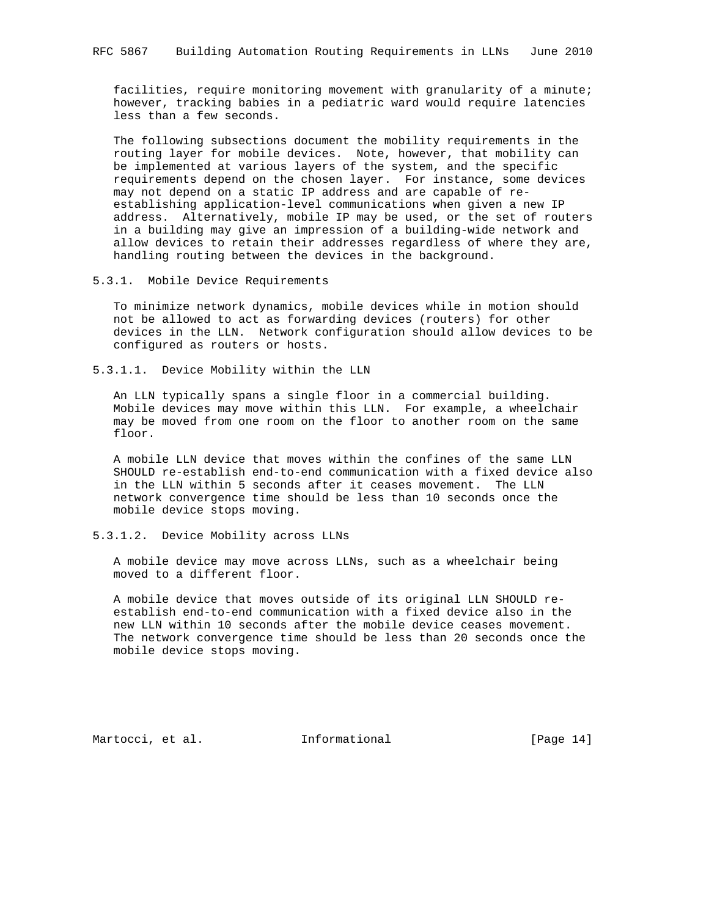facilities, require monitoring movement with granularity of a minute; however, tracking babies in a pediatric ward would require latencies less than a few seconds.

 The following subsections document the mobility requirements in the routing layer for mobile devices. Note, however, that mobility can be implemented at various layers of the system, and the specific requirements depend on the chosen layer. For instance, some devices may not depend on a static IP address and are capable of re establishing application-level communications when given a new IP address. Alternatively, mobile IP may be used, or the set of routers in a building may give an impression of a building-wide network and allow devices to retain their addresses regardless of where they are, handling routing between the devices in the background.

## 5.3.1. Mobile Device Requirements

 To minimize network dynamics, mobile devices while in motion should not be allowed to act as forwarding devices (routers) for other devices in the LLN. Network configuration should allow devices to be configured as routers or hosts.

5.3.1.1. Device Mobility within the LLN

 An LLN typically spans a single floor in a commercial building. Mobile devices may move within this LLN. For example, a wheelchair may be moved from one room on the floor to another room on the same floor.

 A mobile LLN device that moves within the confines of the same LLN SHOULD re-establish end-to-end communication with a fixed device also in the LLN within 5 seconds after it ceases movement. The LLN network convergence time should be less than 10 seconds once the mobile device stops moving.

## 5.3.1.2. Device Mobility across LLNs

 A mobile device may move across LLNs, such as a wheelchair being moved to a different floor.

 A mobile device that moves outside of its original LLN SHOULD re establish end-to-end communication with a fixed device also in the new LLN within 10 seconds after the mobile device ceases movement. The network convergence time should be less than 20 seconds once the mobile device stops moving.

Martocci, et al. 1nformational 1999 [Page 14]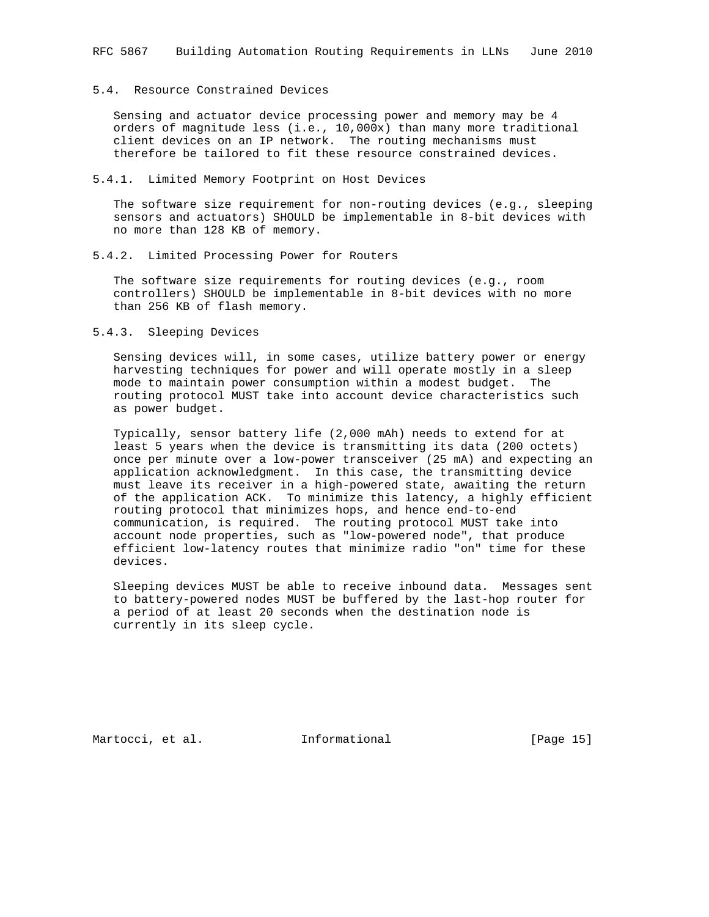## 5.4. Resource Constrained Devices

 Sensing and actuator device processing power and memory may be 4 orders of magnitude less (i.e., 10,000x) than many more traditional client devices on an IP network. The routing mechanisms must therefore be tailored to fit these resource constrained devices.

#### 5.4.1. Limited Memory Footprint on Host Devices

 The software size requirement for non-routing devices (e.g., sleeping sensors and actuators) SHOULD be implementable in 8-bit devices with no more than 128 KB of memory.

#### 5.4.2. Limited Processing Power for Routers

 The software size requirements for routing devices (e.g., room controllers) SHOULD be implementable in 8-bit devices with no more than 256 KB of flash memory.

### 5.4.3. Sleeping Devices

 Sensing devices will, in some cases, utilize battery power or energy harvesting techniques for power and will operate mostly in a sleep mode to maintain power consumption within a modest budget. The routing protocol MUST take into account device characteristics such as power budget.

 Typically, sensor battery life (2,000 mAh) needs to extend for at least 5 years when the device is transmitting its data (200 octets) once per minute over a low-power transceiver (25 mA) and expecting an application acknowledgment. In this case, the transmitting device must leave its receiver in a high-powered state, awaiting the return of the application ACK. To minimize this latency, a highly efficient routing protocol that minimizes hops, and hence end-to-end communication, is required. The routing protocol MUST take into account node properties, such as "low-powered node", that produce efficient low-latency routes that minimize radio "on" time for these devices.

 Sleeping devices MUST be able to receive inbound data. Messages sent to battery-powered nodes MUST be buffered by the last-hop router for a period of at least 20 seconds when the destination node is currently in its sleep cycle.

Martocci, et al. 1nformational 1999 [Page 15]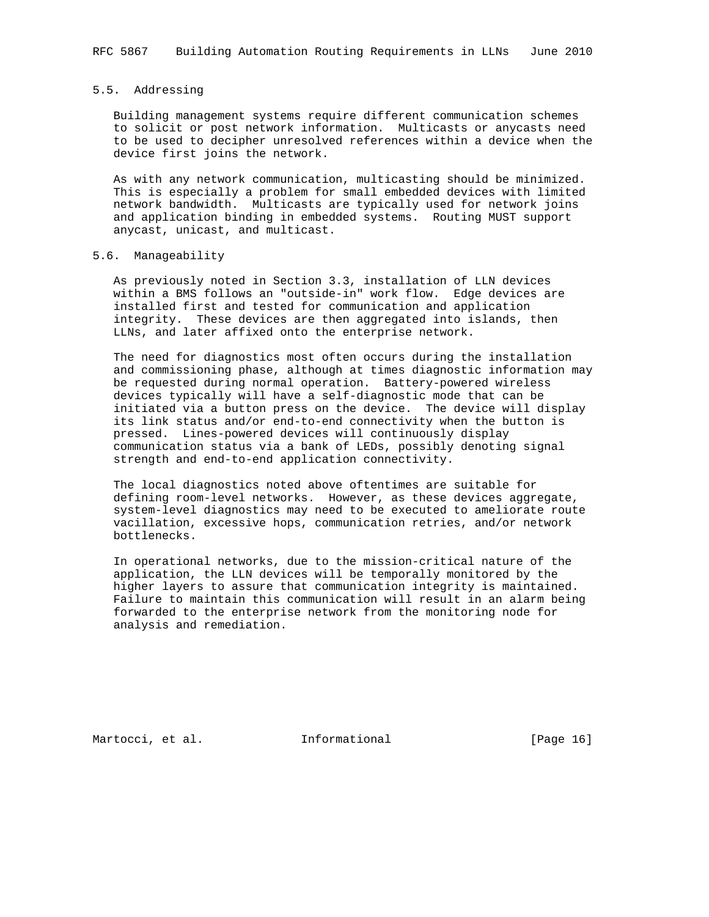## 5.5. Addressing

 Building management systems require different communication schemes to solicit or post network information. Multicasts or anycasts need to be used to decipher unresolved references within a device when the device first joins the network.

 As with any network communication, multicasting should be minimized. This is especially a problem for small embedded devices with limited network bandwidth. Multicasts are typically used for network joins and application binding in embedded systems. Routing MUST support anycast, unicast, and multicast.

## 5.6. Manageability

 As previously noted in Section 3.3, installation of LLN devices within a BMS follows an "outside-in" work flow. Edge devices are installed first and tested for communication and application integrity. These devices are then aggregated into islands, then LLNs, and later affixed onto the enterprise network.

 The need for diagnostics most often occurs during the installation and commissioning phase, although at times diagnostic information may be requested during normal operation. Battery-powered wireless devices typically will have a self-diagnostic mode that can be initiated via a button press on the device. The device will display its link status and/or end-to-end connectivity when the button is pressed. Lines-powered devices will continuously display communication status via a bank of LEDs, possibly denoting signal strength and end-to-end application connectivity.

 The local diagnostics noted above oftentimes are suitable for defining room-level networks. However, as these devices aggregate, system-level diagnostics may need to be executed to ameliorate route vacillation, excessive hops, communication retries, and/or network bottlenecks.

 In operational networks, due to the mission-critical nature of the application, the LLN devices will be temporally monitored by the higher layers to assure that communication integrity is maintained. Failure to maintain this communication will result in an alarm being forwarded to the enterprise network from the monitoring node for analysis and remediation.

Martocci, et al. 1nformational [Page 16]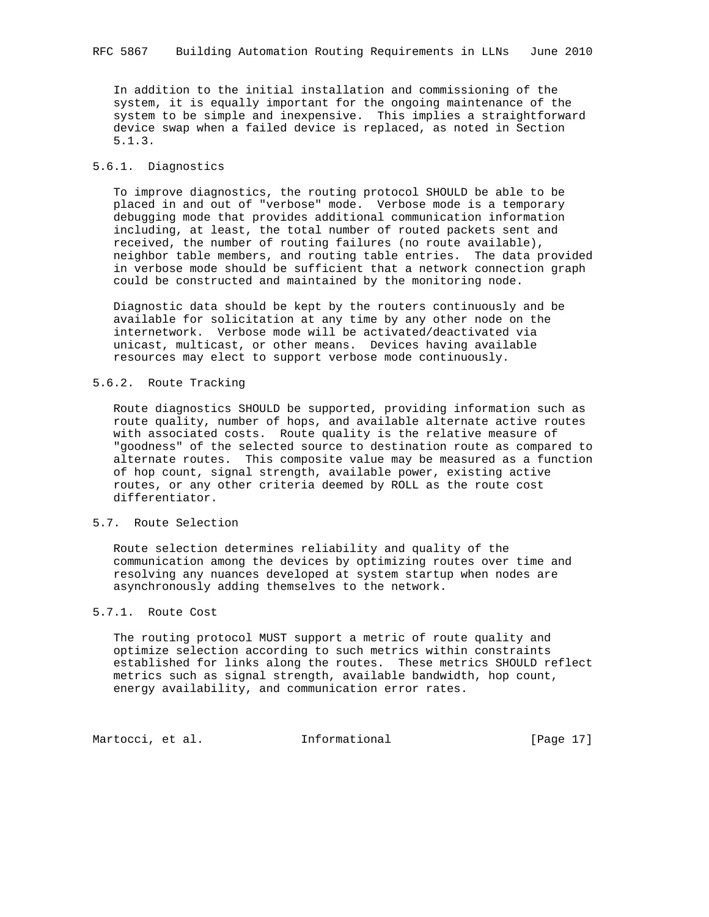In addition to the initial installation and commissioning of the system, it is equally important for the ongoing maintenance of the system to be simple and inexpensive. This implies a straightforward device swap when a failed device is replaced, as noted in Section 5.1.3.

## 5.6.1. Diagnostics

 To improve diagnostics, the routing protocol SHOULD be able to be placed in and out of "verbose" mode. Verbose mode is a temporary debugging mode that provides additional communication information including, at least, the total number of routed packets sent and received, the number of routing failures (no route available), neighbor table members, and routing table entries. The data provided in verbose mode should be sufficient that a network connection graph could be constructed and maintained by the monitoring node.

 Diagnostic data should be kept by the routers continuously and be available for solicitation at any time by any other node on the internetwork. Verbose mode will be activated/deactivated via unicast, multicast, or other means. Devices having available resources may elect to support verbose mode continuously.

### 5.6.2. Route Tracking

 Route diagnostics SHOULD be supported, providing information such as route quality, number of hops, and available alternate active routes with associated costs. Route quality is the relative measure of "goodness" of the selected source to destination route as compared to alternate routes. This composite value may be measured as a function of hop count, signal strength, available power, existing active routes, or any other criteria deemed by ROLL as the route cost differentiator.

# 5.7. Route Selection

 Route selection determines reliability and quality of the communication among the devices by optimizing routes over time and resolving any nuances developed at system startup when nodes are asynchronously adding themselves to the network.

# 5.7.1. Route Cost

 The routing protocol MUST support a metric of route quality and optimize selection according to such metrics within constraints established for links along the routes. These metrics SHOULD reflect metrics such as signal strength, available bandwidth, hop count, energy availability, and communication error rates.

Martocci, et al. 1nformational [Page 17]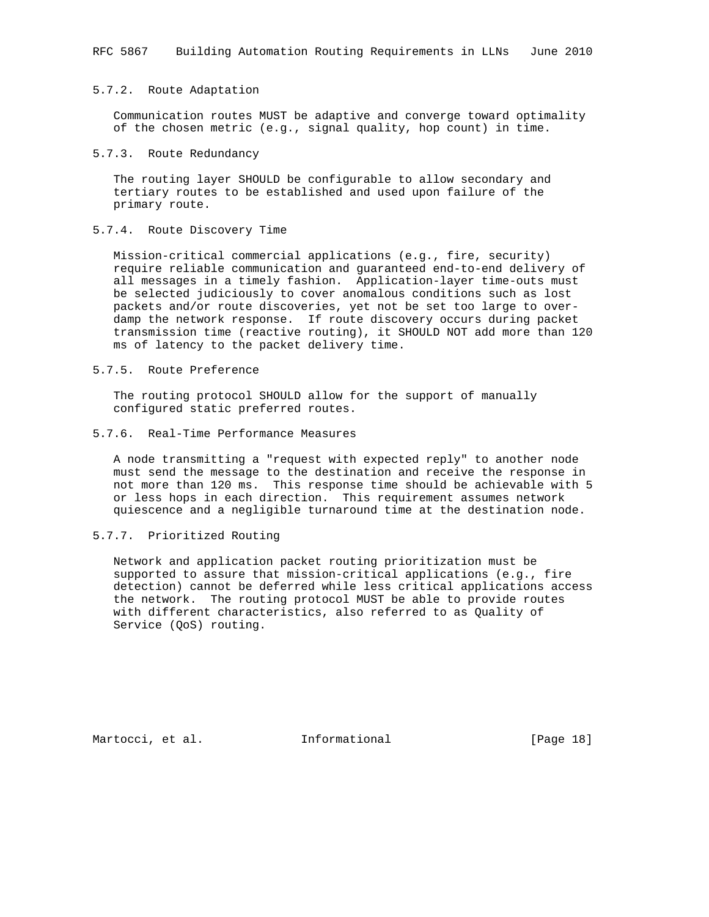## 5.7.2. Route Adaptation

 Communication routes MUST be adaptive and converge toward optimality of the chosen metric (e.g., signal quality, hop count) in time.

### 5.7.3. Route Redundancy

 The routing layer SHOULD be configurable to allow secondary and tertiary routes to be established and used upon failure of the primary route.

### 5.7.4. Route Discovery Time

 Mission-critical commercial applications (e.g., fire, security) require reliable communication and guaranteed end-to-end delivery of all messages in a timely fashion. Application-layer time-outs must be selected judiciously to cover anomalous conditions such as lost packets and/or route discoveries, yet not be set too large to over damp the network response. If route discovery occurs during packet transmission time (reactive routing), it SHOULD NOT add more than 120 ms of latency to the packet delivery time.

## 5.7.5. Route Preference

 The routing protocol SHOULD allow for the support of manually configured static preferred routes.

### 5.7.6. Real-Time Performance Measures

 A node transmitting a "request with expected reply" to another node must send the message to the destination and receive the response in not more than 120 ms. This response time should be achievable with 5 or less hops in each direction. This requirement assumes network quiescence and a negligible turnaround time at the destination node.

## 5.7.7. Prioritized Routing

 Network and application packet routing prioritization must be supported to assure that mission-critical applications (e.g., fire detection) cannot be deferred while less critical applications access the network. The routing protocol MUST be able to provide routes with different characteristics, also referred to as Quality of Service (QoS) routing.

Martocci, et al. 1nformational [Page 18]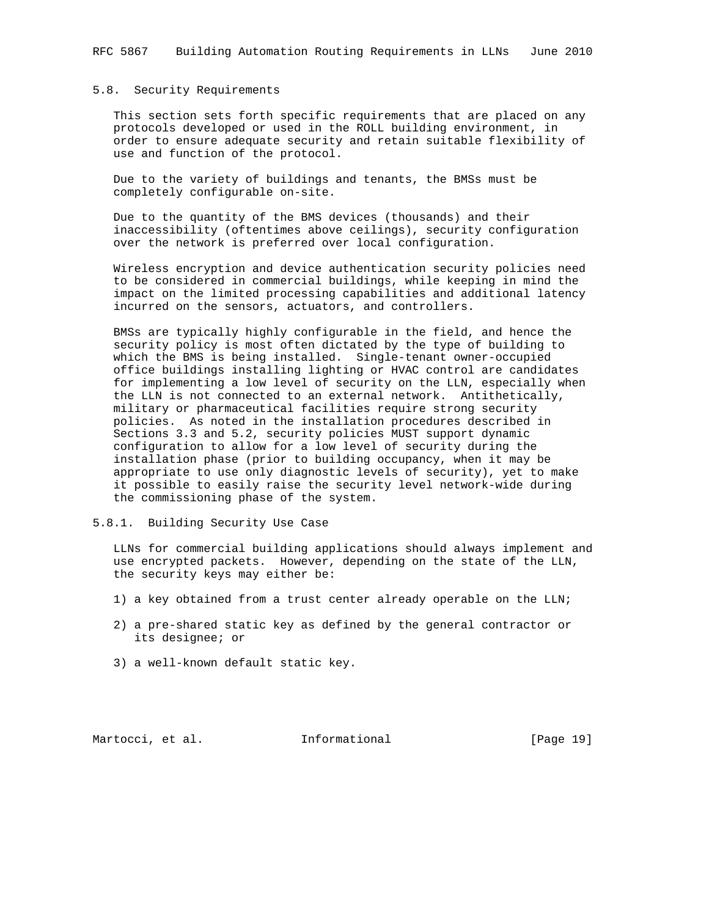### 5.8. Security Requirements

 This section sets forth specific requirements that are placed on any protocols developed or used in the ROLL building environment, in order to ensure adequate security and retain suitable flexibility of use and function of the protocol.

 Due to the variety of buildings and tenants, the BMSs must be completely configurable on-site.

 Due to the quantity of the BMS devices (thousands) and their inaccessibility (oftentimes above ceilings), security configuration over the network is preferred over local configuration.

 Wireless encryption and device authentication security policies need to be considered in commercial buildings, while keeping in mind the impact on the limited processing capabilities and additional latency incurred on the sensors, actuators, and controllers.

 BMSs are typically highly configurable in the field, and hence the security policy is most often dictated by the type of building to which the BMS is being installed. Single-tenant owner-occupied office buildings installing lighting or HVAC control are candidates for implementing a low level of security on the LLN, especially when the LLN is not connected to an external network. Antithetically, military or pharmaceutical facilities require strong security policies. As noted in the installation procedures described in Sections 3.3 and 5.2, security policies MUST support dynamic configuration to allow for a low level of security during the installation phase (prior to building occupancy, when it may be appropriate to use only diagnostic levels of security), yet to make it possible to easily raise the security level network-wide during the commissioning phase of the system.

#### 5.8.1. Building Security Use Case

 LLNs for commercial building applications should always implement and use encrypted packets. However, depending on the state of the LLN, the security keys may either be:

- 1) a key obtained from a trust center already operable on the LLN;
- 2) a pre-shared static key as defined by the general contractor or its designee; or
- 3) a well-known default static key.

Martocci, et al. 1nformational 1917 [Page 19]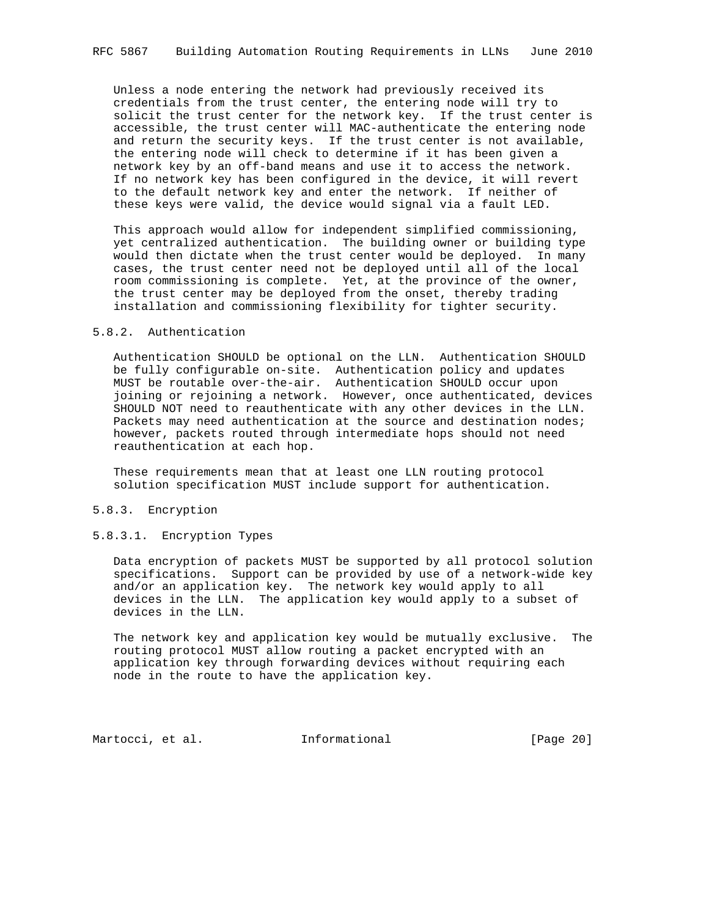Unless a node entering the network had previously received its credentials from the trust center, the entering node will try to solicit the trust center for the network key. If the trust center is accessible, the trust center will MAC-authenticate the entering node and return the security keys. If the trust center is not available, the entering node will check to determine if it has been given a network key by an off-band means and use it to access the network. If no network key has been configured in the device, it will revert to the default network key and enter the network. If neither of these keys were valid, the device would signal via a fault LED.

 This approach would allow for independent simplified commissioning, yet centralized authentication. The building owner or building type would then dictate when the trust center would be deployed. In many cases, the trust center need not be deployed until all of the local room commissioning is complete. Yet, at the province of the owner, the trust center may be deployed from the onset, thereby trading installation and commissioning flexibility for tighter security.

#### 5.8.2. Authentication

 Authentication SHOULD be optional on the LLN. Authentication SHOULD be fully configurable on-site. Authentication policy and updates MUST be routable over-the-air. Authentication SHOULD occur upon joining or rejoining a network. However, once authenticated, devices SHOULD NOT need to reauthenticate with any other devices in the LLN. Packets may need authentication at the source and destination nodes; however, packets routed through intermediate hops should not need reauthentication at each hop.

 These requirements mean that at least one LLN routing protocol solution specification MUST include support for authentication.

### 5.8.3. Encryption

### 5.8.3.1. Encryption Types

 Data encryption of packets MUST be supported by all protocol solution specifications. Support can be provided by use of a network-wide key and/or an application key. The network key would apply to all devices in the LLN. The application key would apply to a subset of devices in the LLN.

 The network key and application key would be mutually exclusive. The routing protocol MUST allow routing a packet encrypted with an application key through forwarding devices without requiring each node in the route to have the application key.

Martocci, et al. 1nformational [Page 20]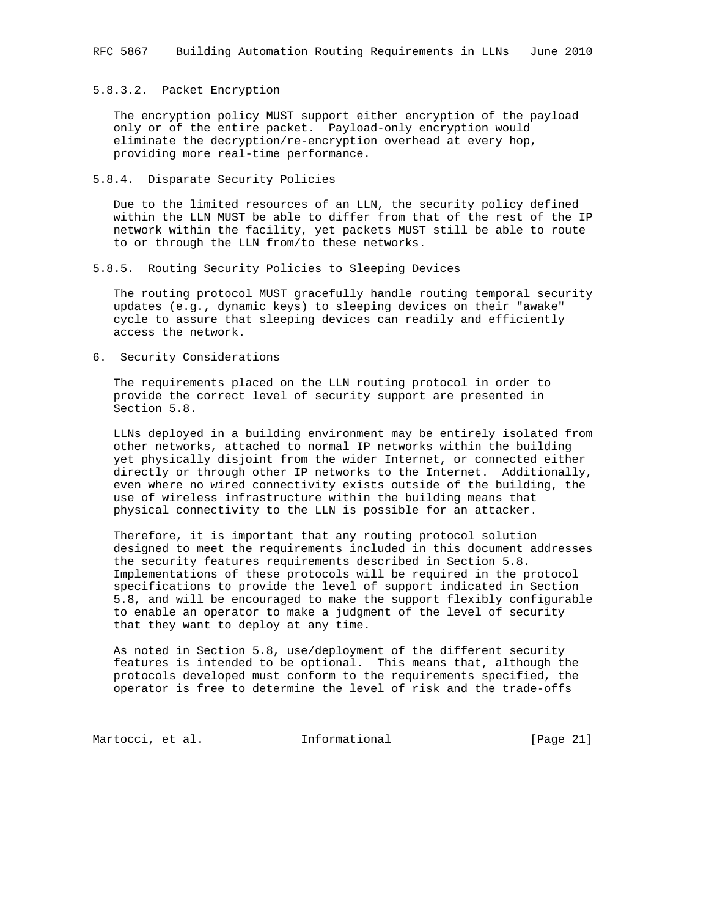## 5.8.3.2. Packet Encryption

 The encryption policy MUST support either encryption of the payload only or of the entire packet. Payload-only encryption would eliminate the decryption/re-encryption overhead at every hop, providing more real-time performance.

#### 5.8.4. Disparate Security Policies

 Due to the limited resources of an LLN, the security policy defined within the LLN MUST be able to differ from that of the rest of the IP network within the facility, yet packets MUST still be able to route to or through the LLN from/to these networks.

5.8.5. Routing Security Policies to Sleeping Devices

 The routing protocol MUST gracefully handle routing temporal security updates (e.g., dynamic keys) to sleeping devices on their "awake" cycle to assure that sleeping devices can readily and efficiently access the network.

6. Security Considerations

 The requirements placed on the LLN routing protocol in order to provide the correct level of security support are presented in Section 5.8.

 LLNs deployed in a building environment may be entirely isolated from other networks, attached to normal IP networks within the building yet physically disjoint from the wider Internet, or connected either directly or through other IP networks to the Internet. Additionally, even where no wired connectivity exists outside of the building, the use of wireless infrastructure within the building means that physical connectivity to the LLN is possible for an attacker.

 Therefore, it is important that any routing protocol solution designed to meet the requirements included in this document addresses the security features requirements described in Section 5.8. Implementations of these protocols will be required in the protocol specifications to provide the level of support indicated in Section 5.8, and will be encouraged to make the support flexibly configurable to enable an operator to make a judgment of the level of security that they want to deploy at any time.

 As noted in Section 5.8, use/deployment of the different security features is intended to be optional. This means that, although the protocols developed must conform to the requirements specified, the operator is free to determine the level of risk and the trade-offs

Martocci, et al. 1nformational [Page 21]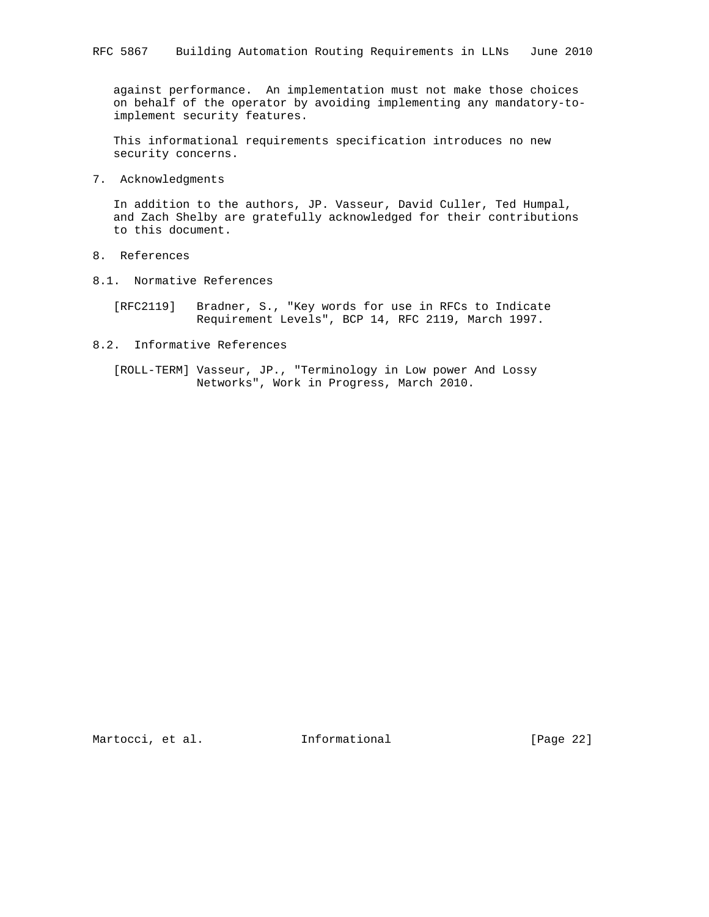against performance. An implementation must not make those choices on behalf of the operator by avoiding implementing any mandatory-to implement security features.

 This informational requirements specification introduces no new security concerns.

7. Acknowledgments

 In addition to the authors, JP. Vasseur, David Culler, Ted Humpal, and Zach Shelby are gratefully acknowledged for their contributions to this document.

- 8. References
- 8.1. Normative References

 [RFC2119] Bradner, S., "Key words for use in RFCs to Indicate Requirement Levels", BCP 14, RFC 2119, March 1997.

- 8.2. Informative References
	- [ROLL-TERM] Vasseur, JP., "Terminology in Low power And Lossy Networks", Work in Progress, March 2010.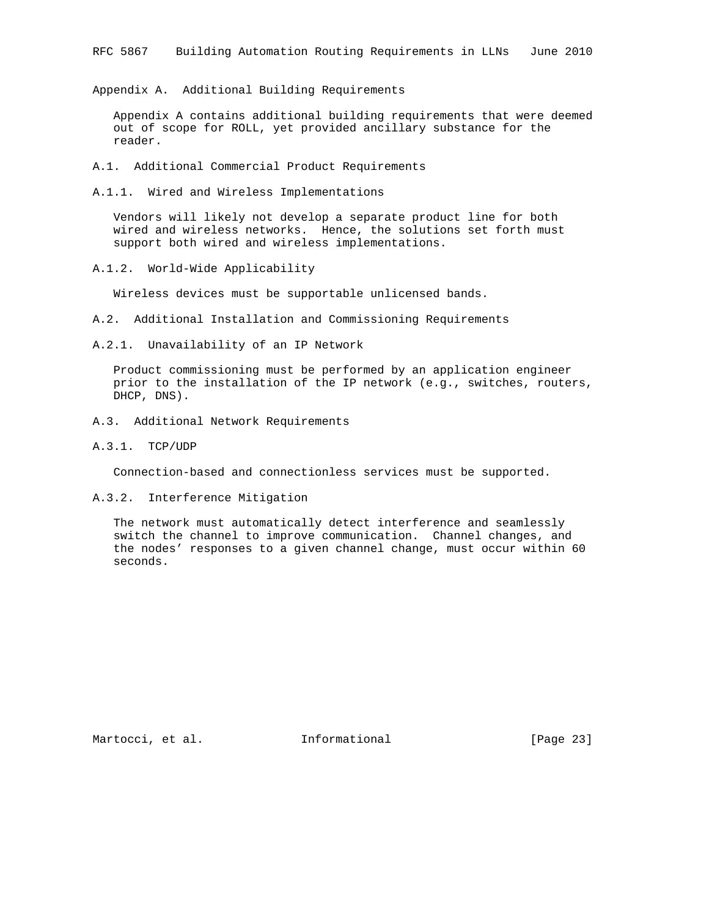Appendix A. Additional Building Requirements

 Appendix A contains additional building requirements that were deemed out of scope for ROLL, yet provided ancillary substance for the reader.

- A.1. Additional Commercial Product Requirements
- A.1.1. Wired and Wireless Implementations

 Vendors will likely not develop a separate product line for both wired and wireless networks. Hence, the solutions set forth must support both wired and wireless implementations.

A.1.2. World-Wide Applicability

Wireless devices must be supportable unlicensed bands.

- A.2. Additional Installation and Commissioning Requirements
- A.2.1. Unavailability of an IP Network

 Product commissioning must be performed by an application engineer prior to the installation of the IP network (e.g., switches, routers, DHCP, DNS).

- A.3. Additional Network Requirements
- A.3.1. TCP/UDP

Connection-based and connectionless services must be supported.

A.3.2. Interference Mitigation

 The network must automatically detect interference and seamlessly switch the channel to improve communication. Channel changes, and the nodes' responses to a given channel change, must occur within 60 seconds.

Martocci, et al. 1nformational [Page 23]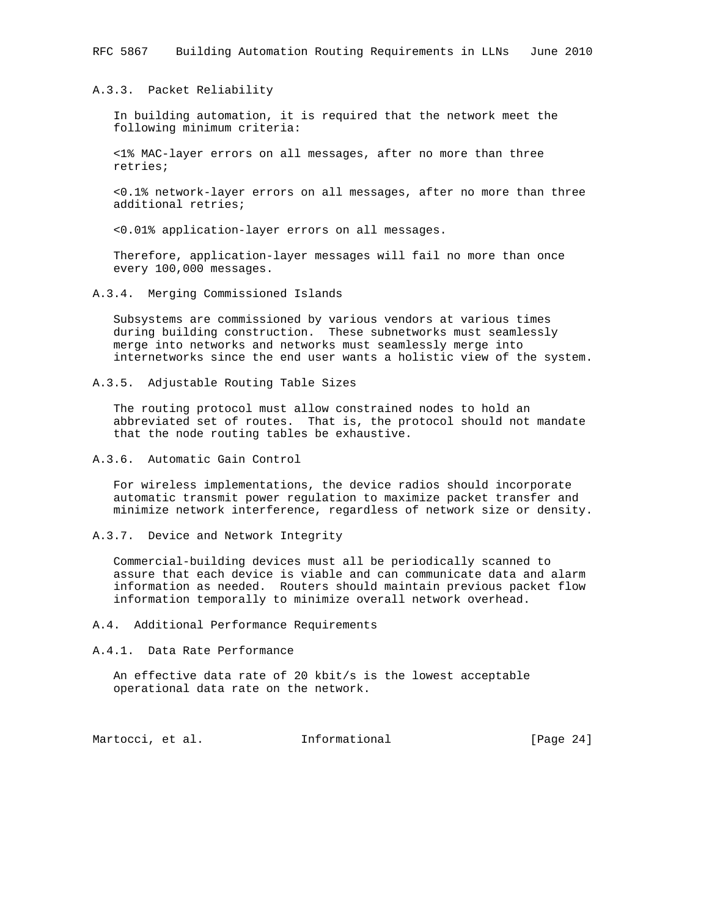A.3.3. Packet Reliability

 In building automation, it is required that the network meet the following minimum criteria:

 <1% MAC-layer errors on all messages, after no more than three retries;

 <0.1% network-layer errors on all messages, after no more than three additional retries;

<0.01% application-layer errors on all messages.

 Therefore, application-layer messages will fail no more than once every 100,000 messages.

A.3.4. Merging Commissioned Islands

 Subsystems are commissioned by various vendors at various times during building construction. These subnetworks must seamlessly merge into networks and networks must seamlessly merge into internetworks since the end user wants a holistic view of the system.

A.3.5. Adjustable Routing Table Sizes

 The routing protocol must allow constrained nodes to hold an abbreviated set of routes. That is, the protocol should not mandate that the node routing tables be exhaustive.

A.3.6. Automatic Gain Control

 For wireless implementations, the device radios should incorporate automatic transmit power regulation to maximize packet transfer and minimize network interference, regardless of network size or density.

A.3.7. Device and Network Integrity

 Commercial-building devices must all be periodically scanned to assure that each device is viable and can communicate data and alarm information as needed. Routers should maintain previous packet flow information temporally to minimize overall network overhead.

A.4. Additional Performance Requirements

A.4.1. Data Rate Performance

 An effective data rate of 20 kbit/s is the lowest acceptable operational data rate on the network.

Martocci, et al. 1nformational [Page 24]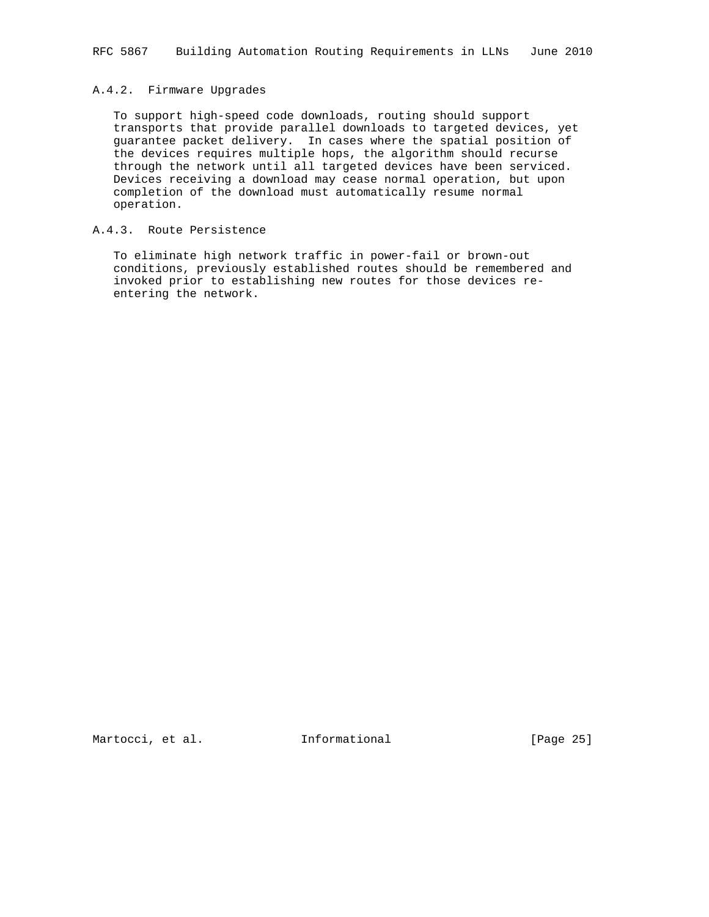# A.4.2. Firmware Upgrades

 To support high-speed code downloads, routing should support transports that provide parallel downloads to targeted devices, yet guarantee packet delivery. In cases where the spatial position of the devices requires multiple hops, the algorithm should recurse through the network until all targeted devices have been serviced. Devices receiving a download may cease normal operation, but upon completion of the download must automatically resume normal operation.

# A.4.3. Route Persistence

 To eliminate high network traffic in power-fail or brown-out conditions, previously established routes should be remembered and invoked prior to establishing new routes for those devices re entering the network.